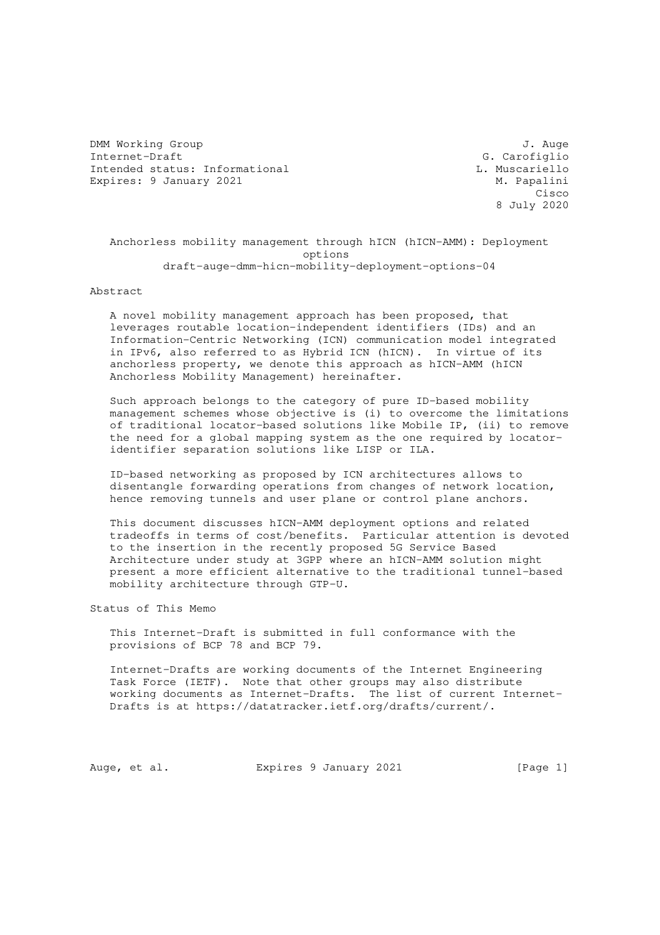DMM Working Group J. Auge Internet-Draft G. Carofiglio Intended status: Informational L. Muscariello Expires: 9 January 2021 M. Papalini

**Cisco Contract of the Contract of the Contract of the Contract of the Contract of the Contract of the Contract** 8 July 2020

 Anchorless mobility management through hICN (hICN-AMM): Deployment options draft-auge-dmm-hicn-mobility-deployment-options-04

Abstract

 A novel mobility management approach has been proposed, that leverages routable location-independent identifiers (IDs) and an Information-Centric Networking (ICN) communication model integrated in IPv6, also referred to as Hybrid ICN (hICN). In virtue of its anchorless property, we denote this approach as hICN-AMM (hICN Anchorless Mobility Management) hereinafter.

 Such approach belongs to the category of pure ID-based mobility management schemes whose objective is (i) to overcome the limitations of traditional locator-based solutions like Mobile IP, (ii) to remove the need for a global mapping system as the one required by locator identifier separation solutions like LISP or ILA.

 ID-based networking as proposed by ICN architectures allows to disentangle forwarding operations from changes of network location, hence removing tunnels and user plane or control plane anchors.

 This document discusses hICN-AMM deployment options and related tradeoffs in terms of cost/benefits. Particular attention is devoted to the insertion in the recently proposed 5G Service Based Architecture under study at 3GPP where an hICN-AMM solution might present a more efficient alternative to the traditional tunnel-based mobility architecture through GTP-U.

Status of This Memo

 This Internet-Draft is submitted in full conformance with the provisions of BCP 78 and BCP 79.

 Internet-Drafts are working documents of the Internet Engineering Task Force (IETF). Note that other groups may also distribute working documents as Internet-Drafts. The list of current Internet- Drafts is at https://datatracker.ietf.org/drafts/current/.

Auge, et al. Expires 9 January 2021 [Page 1]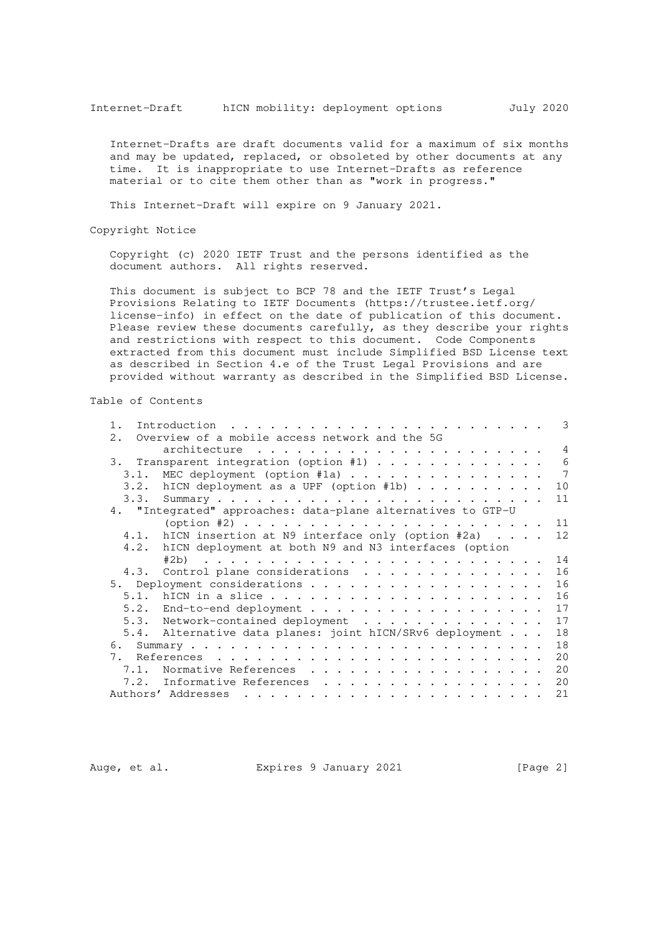Internet-Drafts are draft documents valid for a maximum of six months and may be updated, replaced, or obsoleted by other documents at any time. It is inappropriate to use Internet-Drafts as reference material or to cite them other than as "work in progress."

This Internet-Draft will expire on 9 January 2021.

Copyright Notice

 Copyright (c) 2020 IETF Trust and the persons identified as the document authors. All rights reserved.

 This document is subject to BCP 78 and the IETF Trust's Legal Provisions Relating to IETF Documents (https://trustee.ietf.org/ license-info) in effect on the date of publication of this document. Please review these documents carefully, as they describe your rights and restrictions with respect to this document. Code Components extracted from this document must include Simplified BSD License text as described in Section 4.e of the Trust Legal Provisions and are provided without warranty as described in the Simplified BSD License.

#### Table of Contents

| $1$ . | Introduction<br>$\frac{1}{2}$ , $\frac{1}{2}$ , $\frac{1}{2}$ , $\frac{1}{2}$ , $\frac{1}{2}$ , $\frac{1}{2}$ , $\frac{1}{2}$ , $\frac{1}{2}$                                                                                                                                                                                                                                                                                                                    | 3              |
|-------|------------------------------------------------------------------------------------------------------------------------------------------------------------------------------------------------------------------------------------------------------------------------------------------------------------------------------------------------------------------------------------------------------------------------------------------------------------------|----------------|
| 2.    | Overview of a mobile access network and the 5G                                                                                                                                                                                                                                                                                                                                                                                                                   |                |
|       |                                                                                                                                                                                                                                                                                                                                                                                                                                                                  | $\overline{4}$ |
|       | 3. Transparent integration (option #1)                                                                                                                                                                                                                                                                                                                                                                                                                           | 6              |
| 3.1.  | MEC deployment (option #1a)                                                                                                                                                                                                                                                                                                                                                                                                                                      | 7              |
| 3.2.  | hICN deployment as a UPF (option $#1b$ )                                                                                                                                                                                                                                                                                                                                                                                                                         | 10             |
| 3.3.  |                                                                                                                                                                                                                                                                                                                                                                                                                                                                  | 11             |
|       | 4. "Integrated" approaches: data-plane alternatives to GTP-U                                                                                                                                                                                                                                                                                                                                                                                                     |                |
|       | (option #2) $\cdots$ $\cdots$ $\cdots$ $\cdots$ $\cdots$ $\cdots$ $\cdots$ $\cdots$ $\cdots$ $\cdots$                                                                                                                                                                                                                                                                                                                                                            | 11             |
| 4.1.  | hICN insertion at N9 interface only (option #2a) $\ldots$ .                                                                                                                                                                                                                                                                                                                                                                                                      | 12             |
|       | 4.2. hICN deployment at both N9 and N3 interfaces (option                                                                                                                                                                                                                                                                                                                                                                                                        |                |
|       |                                                                                                                                                                                                                                                                                                                                                                                                                                                                  | 14             |
| 4.3.  | Control plane considerations                                                                                                                                                                                                                                                                                                                                                                                                                                     | 16             |
|       |                                                                                                                                                                                                                                                                                                                                                                                                                                                                  | 16             |
|       |                                                                                                                                                                                                                                                                                                                                                                                                                                                                  | 16             |
|       | 5.2. End-to-end deployment                                                                                                                                                                                                                                                                                                                                                                                                                                       | 17             |
|       | 5.3. Network-contained deployment                                                                                                                                                                                                                                                                                                                                                                                                                                | 17             |
|       | 5.4. Alternative data planes: joint hICN/SRv6 deployment                                                                                                                                                                                                                                                                                                                                                                                                         | 18             |
|       |                                                                                                                                                                                                                                                                                                                                                                                                                                                                  | 18             |
| 7.    |                                                                                                                                                                                                                                                                                                                                                                                                                                                                  | 20             |
| 7.1.  | Normative References                                                                                                                                                                                                                                                                                                                                                                                                                                             | 20             |
| 7.2.  | Informative References                                                                                                                                                                                                                                                                                                                                                                                                                                           | 20             |
|       | Authors' Addresses<br>$\mathbf{L}^{\mathbf{u}}\left(\mathbf{u}^{\mathbf{v}}\right) = \mathbf{L}^{\mathbf{u}}\left(\mathbf{u}^{\mathbf{v}}\right) = \mathbf{L}^{\mathbf{u}}\left(\mathbf{u}^{\mathbf{v}}\right) = \mathbf{L}^{\mathbf{u}}\left(\mathbf{u}^{\mathbf{v}}\right) = \mathbf{L}^{\mathbf{u}}\left(\mathbf{u}^{\mathbf{v}}\right) = \mathbf{L}^{\mathbf{u}}\left(\mathbf{u}^{\mathbf{v}}\right) = \mathbf{L}^{\mathbf{u}}\left(\mathbf{u}^{\mathbf{v}}$ | 21             |

Auge, et al. Expires 9 January 2021 [Page 2]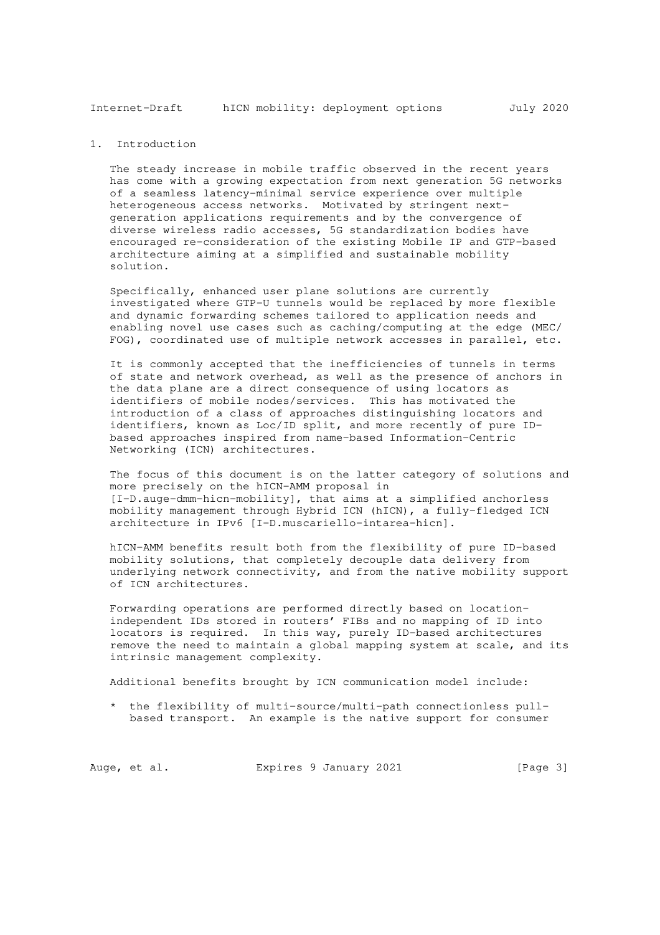# 1. Introduction

 The steady increase in mobile traffic observed in the recent years has come with a growing expectation from next generation 5G networks of a seamless latency-minimal service experience over multiple heterogeneous access networks. Motivated by stringent next generation applications requirements and by the convergence of diverse wireless radio accesses, 5G standardization bodies have encouraged re-consideration of the existing Mobile IP and GTP-based architecture aiming at a simplified and sustainable mobility solution.

 Specifically, enhanced user plane solutions are currently investigated where GTP-U tunnels would be replaced by more flexible and dynamic forwarding schemes tailored to application needs and enabling novel use cases such as caching/computing at the edge (MEC/ FOG), coordinated use of multiple network accesses in parallel, etc.

 It is commonly accepted that the inefficiencies of tunnels in terms of state and network overhead, as well as the presence of anchors in the data plane are a direct consequence of using locators as identifiers of mobile nodes/services. This has motivated the introduction of a class of approaches distinguishing locators and identifiers, known as Loc/ID split, and more recently of pure ID based approaches inspired from name-based Information-Centric Networking (ICN) architectures.

 The focus of this document is on the latter category of solutions and more precisely on the hICN-AMM proposal in [I-D.auge-dmm-hicn-mobility], that aims at a simplified anchorless mobility management through Hybrid ICN (hICN), a fully-fledged ICN architecture in IPv6 [I-D.muscariello-intarea-hicn].

 hICN-AMM benefits result both from the flexibility of pure ID-based mobility solutions, that completely decouple data delivery from underlying network connectivity, and from the native mobility support of ICN architectures.

 Forwarding operations are performed directly based on location independent IDs stored in routers' FIBs and no mapping of ID into locators is required. In this way, purely ID-based architectures remove the need to maintain a global mapping system at scale, and its intrinsic management complexity.

Additional benefits brought by ICN communication model include:

 \* the flexibility of multi-source/multi-path connectionless pull based transport. An example is the native support for consumer

Auge, et al. Expires 9 January 2021 [Page 3]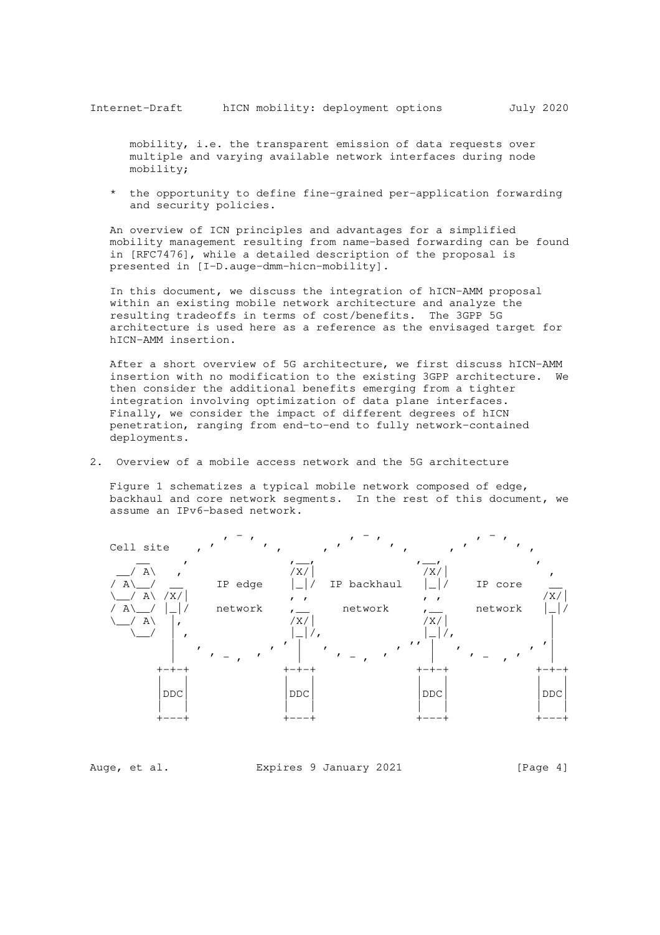mobility, i.e. the transparent emission of data requests over multiple and varying available network interfaces during node mobility;

 \* the opportunity to define fine-grained per-application forwarding and security policies.

 An overview of ICN principles and advantages for a simplified mobility management resulting from name-based forwarding can be found in [RFC7476], while a detailed description of the proposal is presented in [I-D.auge-dmm-hicn-mobility].

 In this document, we discuss the integration of hICN-AMM proposal within an existing mobile network architecture and analyze the resulting tradeoffs in terms of cost/benefits. The 3GPP 5G architecture is used here as a reference as the envisaged target for hICN-AMM insertion.

 After a short overview of 5G architecture, we first discuss hICN-AMM insertion with no modification to the existing 3GPP architecture. We then consider the additional benefits emerging from a tighter integration involving optimization of data plane interfaces. Finally, we consider the impact of different degrees of hICN penetration, ranging from end-to-end to fully network-contained deployments.

2. Overview of a mobile access network and the 5G architecture

 Figure 1 schematizes a typical mobile network composed of edge, backhaul and core network segments. In the rest of this document, we assume an IPv6-based network.



Auge, et al. Expires 9 January 2021 [Page 4]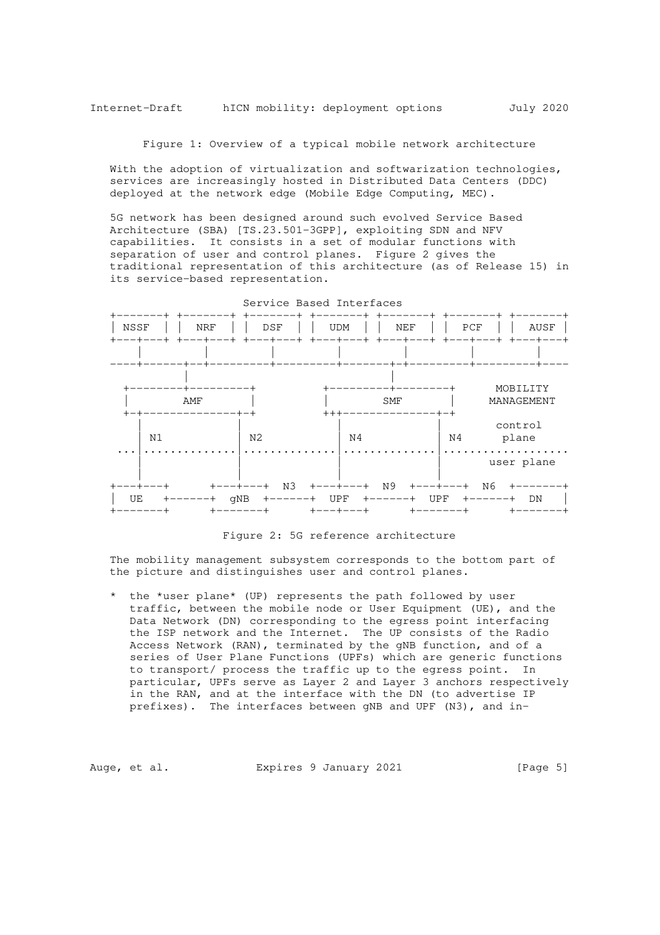Figure 1: Overview of a typical mobile network architecture

 With the adoption of virtualization and softwarization technologies, services are increasingly hosted in Distributed Data Centers (DDC) deployed at the network edge (Mobile Edge Computing, MEC).

 5G network has been designed around such evolved Service Based Architecture (SBA) [TS.23.501-3GPP], exploiting SDN and NFV capabilities. It consists in a set of modular functions with separation of user and control planes. Figure 2 gives the traditional representation of this architecture (as of Release 15) in its service-based representation.



Service Based Interfaces

#### Figure 2: 5G reference architecture

 The mobility management subsystem corresponds to the bottom part of the picture and distinguishes user and control planes.

 \* the \*user plane\* (UP) represents the path followed by user traffic, between the mobile node or User Equipment (UE), and the Data Network (DN) corresponding to the egress point interfacing the ISP network and the Internet. The UP consists of the Radio Access Network (RAN), terminated by the gNB function, and of a series of User Plane Functions (UPFs) which are generic functions to transport/ process the traffic up to the egress point. In particular, UPFs serve as Layer 2 and Layer 3 anchors respectively in the RAN, and at the interface with the DN (to advertise IP prefixes). The interfaces between gNB and UPF (N3), and in-

Auge, et al. Expires 9 January 2021 [Page 5]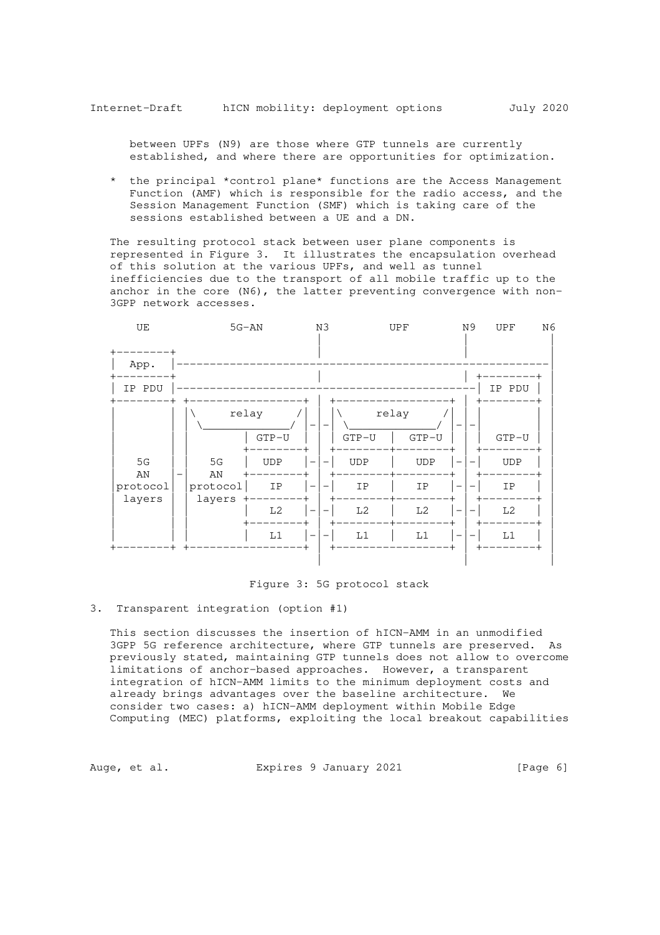between UPFs (N9) are those where GTP tunnels are currently established, and where there are opportunities for optimization.

 \* the principal \*control plane\* functions are the Access Management Function (AMF) which is responsible for the radio access, and the Session Management Function (SMF) which is taking care of the sessions established between a UE and a DN.

 The resulting protocol stack between user plane components is represented in Figure 3. It illustrates the encapsulation overhead of this solution at the various UPFs, and well as tunnel inefficiencies due to the transport of all mobile traffic up to the anchor in the core (N6), the latter preventing convergence with non- 3GPP network accesses.

| UE                 |                    | $5G-AN$          | N3                       |            | UPF              |                          | N <sub>9</sub> | <b>UPF</b> | N6 |
|--------------------|--------------------|------------------|--------------------------|------------|------------------|--------------------------|----------------|------------|----|
| App.               |                    |                  |                          |            |                  |                          |                |            |    |
| IP PDU             |                    |                  |                          |            |                  |                          |                | IP PDU     |    |
|                    |                    | relay<br>$GTP-U$ |                          | $GTP-U$    | relay<br>$GTP-U$ |                          |                | $GTP-U$    |    |
| 5G<br>AN           | 5G<br>AN           | <b>UDP</b>       | $\overline{\phantom{m}}$ | <b>UDP</b> | <b>UDP</b>       | $\overline{\phantom{m}}$ |                | <b>UDP</b> |    |
| protocol<br>layers | protocol<br>layers | IP               |                          | ΙP         | IP               | $\overline{\phantom{0}}$ |                | IP         |    |
|                    |                    | L <sub>2</sub>   | $\overline{\phantom{m}}$ | L2         | L <sub>2</sub>   | $\overline{\phantom{a}}$ |                | L2         |    |
|                    |                    | L1               | $\overline{\phantom{m}}$ | L1         | L1               | $\overline{\phantom{a}}$ |                | L1         |    |
|                    |                    |                  |                          |            |                  |                          |                |            |    |

### Figure 3: 5G protocol stack

## 3. Transparent integration (option #1)

 This section discusses the insertion of hICN-AMM in an unmodified 3GPP 5G reference architecture, where GTP tunnels are preserved. As previously stated, maintaining GTP tunnels does not allow to overcome limitations of anchor-based approaches. However, a transparent integration of hICN-AMM limits to the minimum deployment costs and already brings advantages over the baseline architecture. We consider two cases: a) hICN-AMM deployment within Mobile Edge Computing (MEC) platforms, exploiting the local breakout capabilities

Auge, et al. Expires 9 January 2021 [Page 6]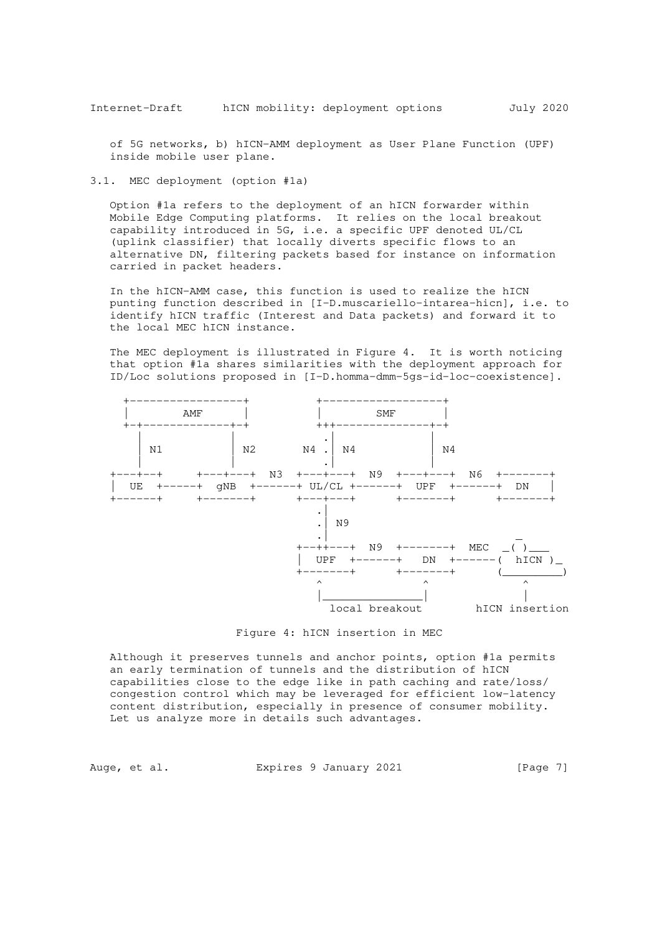of 5G networks, b) hICN-AMM deployment as User Plane Function (UPF) inside mobile user plane.

3.1. MEC deployment (option #1a)

 Option #1a refers to the deployment of an hICN forwarder within Mobile Edge Computing platforms. It relies on the local breakout capability introduced in 5G, i.e. a specific UPF denoted UL/CL (uplink classifier) that locally diverts specific flows to an alternative DN, filtering packets based for instance on information carried in packet headers.

 In the hICN-AMM case, this function is used to realize the hICN punting function described in [I-D.muscariello-intarea-hicn], i.e. to identify hICN traffic (Interest and Data packets) and forward it to the local MEC hICN instance.

 The MEC deployment is illustrated in Figure 4. It is worth noticing that option #1a shares similarities with the deployment approach for ID/Loc solutions proposed in [I-D.homma-dmm-5gs-id-loc-coexistence].



Figure 4: hICN insertion in MEC

 Although it preserves tunnels and anchor points, option #1a permits an early termination of tunnels and the distribution of hICN capabilities close to the edge like in path caching and rate/loss/ congestion control which may be leveraged for efficient low-latency content distribution, especially in presence of consumer mobility. Let us analyze more in details such advantages.

Auge, et al. Expires 9 January 2021 [Page 7]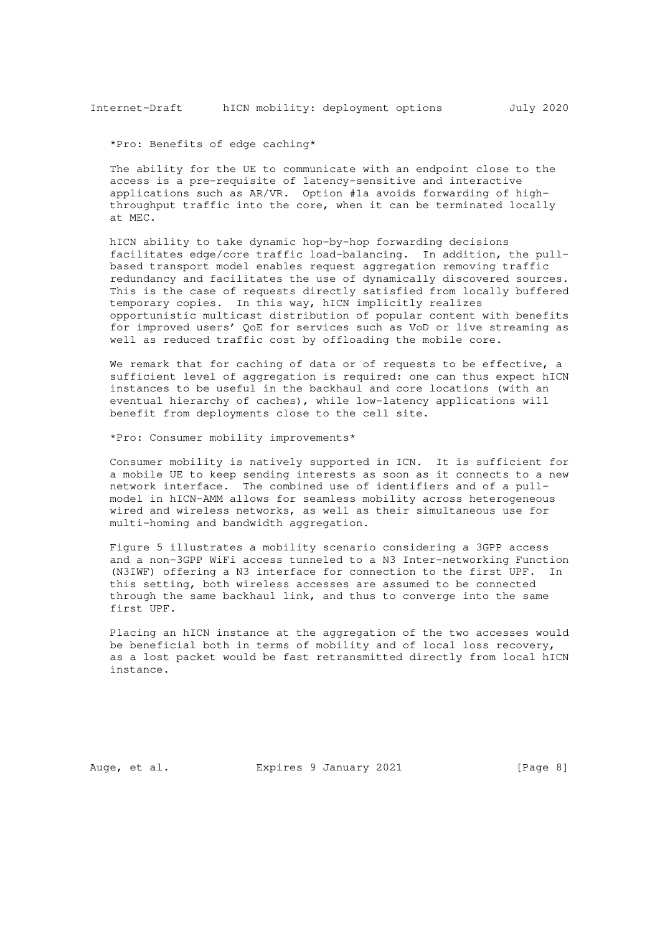\*Pro: Benefits of edge caching\*

 The ability for the UE to communicate with an endpoint close to the access is a pre-requisite of latency-sensitive and interactive applications such as AR/VR. Option #1a avoids forwarding of high throughput traffic into the core, when it can be terminated locally at MEC.

 hICN ability to take dynamic hop-by-hop forwarding decisions facilitates edge/core traffic load-balancing. In addition, the pull based transport model enables request aggregation removing traffic redundancy and facilitates the use of dynamically discovered sources. This is the case of requests directly satisfied from locally buffered temporary copies. In this way, hICN implicitly realizes opportunistic multicast distribution of popular content with benefits for improved users' QoE for services such as VoD or live streaming as well as reduced traffic cost by offloading the mobile core.

We remark that for caching of data or of requests to be effective, a sufficient level of aggregation is required: one can thus expect hICN instances to be useful in the backhaul and core locations (with an eventual hierarchy of caches), while low-latency applications will benefit from deployments close to the cell site.

\*Pro: Consumer mobility improvements\*

 Consumer mobility is natively supported in ICN. It is sufficient for a mobile UE to keep sending interests as soon as it connects to a new network interface. The combined use of identifiers and of a pull model in hICN-AMM allows for seamless mobility across heterogeneous wired and wireless networks, as well as their simultaneous use for multi-homing and bandwidth aggregation.

 Figure 5 illustrates a mobility scenario considering a 3GPP access and a non-3GPP WiFi access tunneled to a N3 Inter-networking Function (N3IWF) offering a N3 interface for connection to the first UPF. In this setting, both wireless accesses are assumed to be connected through the same backhaul link, and thus to converge into the same first UPF.

 Placing an hICN instance at the aggregation of the two accesses would be beneficial both in terms of mobility and of local loss recovery, as a lost packet would be fast retransmitted directly from local hICN instance.

Auge, et al. Expires 9 January 2021 [Page 8]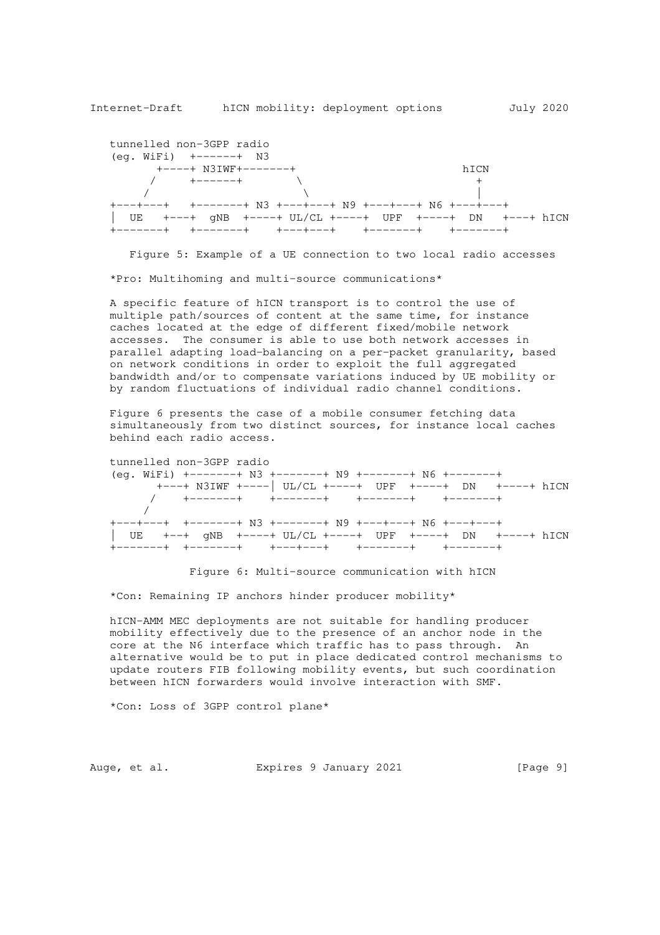

 Figure 5: Example of a UE connection to two local radio accesses \*Pro: Multihoming and multi-source communications\*

 A specific feature of hICN transport is to control the use of multiple path/sources of content at the same time, for instance caches located at the edge of different fixed/mobile network accesses. The consumer is able to use both network accesses in parallel adapting load-balancing on a per-packet granularity, based on network conditions in order to exploit the full aggregated bandwidth and/or to compensate variations induced by UE mobility or by random fluctuations of individual radio channel conditions.

 Figure 6 presents the case of a mobile consumer fetching data simultaneously from two distinct sources, for instance local caches behind each radio access.

| tunnelled non-3GPP radio                                                                 |                                                                |  |  |
|------------------------------------------------------------------------------------------|----------------------------------------------------------------|--|--|
| (eg. WiFi)        +-------+ N3        +-------+ N9        +-------+ N6        +--------+ |                                                                |  |  |
|                                                                                          | +---+ N3IWF +----  UL/CL +----+ UPF +----+ DN +----+ hICN      |  |  |
|                                                                                          | _/      +-------+      +-------+      +-------+      +-------+ |  |  |
|                                                                                          |                                                                |  |  |
|                                                                                          |                                                                |  |  |
| UE          +--+ gNB          +----+ UL/CL          +----+ DPF          +-----+ HICN     |                                                                |  |  |
|                                                                                          |                                                                |  |  |

Figure 6: Multi-source communication with hICN

\*Con: Remaining IP anchors hinder producer mobility\*

 hICN-AMM MEC deployments are not suitable for handling producer mobility effectively due to the presence of an anchor node in the core at the N6 interface which traffic has to pass through. An alternative would be to put in place dedicated control mechanisms to update routers FIB following mobility events, but such coordination between hICN forwarders would involve interaction with SMF.

\*Con: Loss of 3GPP control plane\*

Auge, et al. Expires 9 January 2021 [Page 9]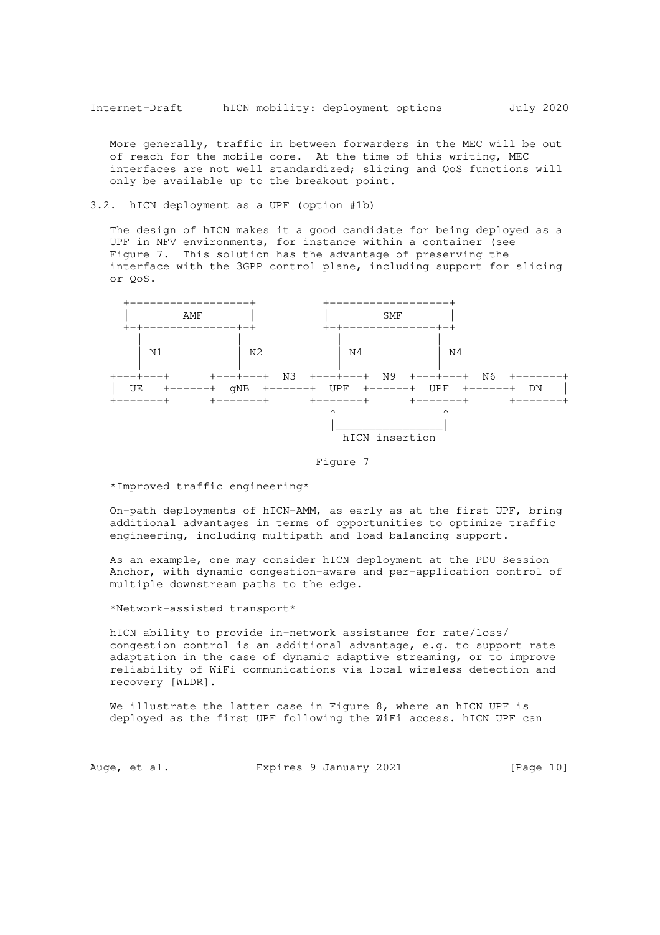More generally, traffic in between forwarders in the MEC will be out of reach for the mobile core. At the time of this writing, MEC interfaces are not well standardized; slicing and QoS functions will only be available up to the breakout point.

### 3.2. hICN deployment as a UPF (option #1b)

 The design of hICN makes it a good candidate for being deployed as a UPF in NFV environments, for instance within a container (see Figure 7. This solution has the advantage of preserving the interface with the 3GPP control plane, including support for slicing or QoS.



Figure 7

#### \*Improved traffic engineering\*

 On-path deployments of hICN-AMM, as early as at the first UPF, bring additional advantages in terms of opportunities to optimize traffic engineering, including multipath and load balancing support.

 As an example, one may consider hICN deployment at the PDU Session Anchor, with dynamic congestion-aware and per-application control of multiple downstream paths to the edge.

\*Network-assisted transport\*

 hICN ability to provide in-network assistance for rate/loss/ congestion control is an additional advantage, e.g. to support rate adaptation in the case of dynamic adaptive streaming, or to improve reliability of WiFi communications via local wireless detection and recovery [WLDR].

We illustrate the latter case in Figure 8, where an hICN UPF is deployed as the first UPF following the WiFi access. hICN UPF can

Auge, et al. Expires 9 January 2021 [Page 10]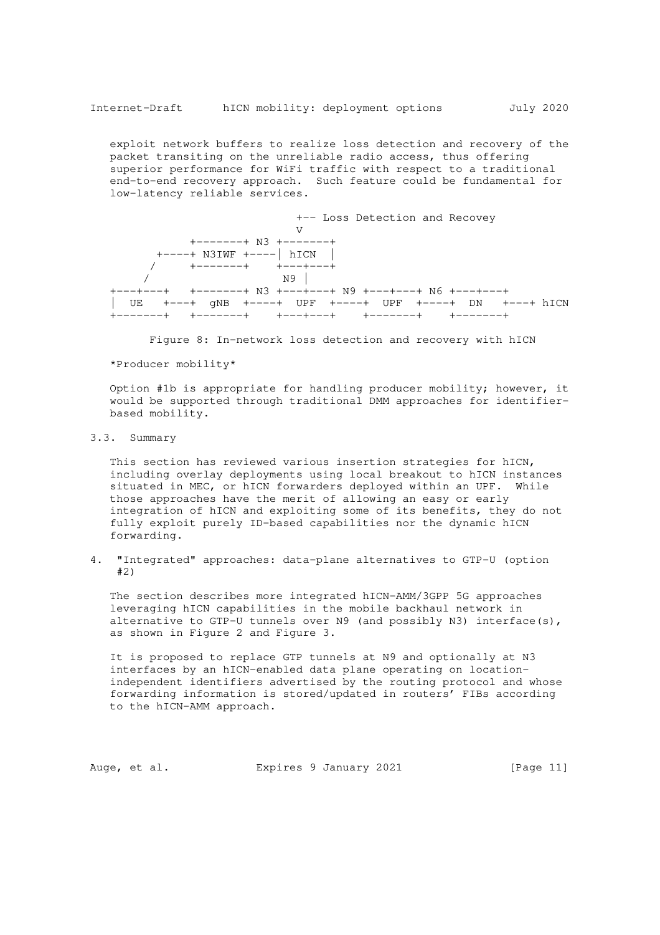exploit network buffers to realize loss detection and recovery of the packet transiting on the unreliable radio access, thus offering superior performance for WiFi traffic with respect to a traditional end-to-end recovery approach. Such feature could be fundamental for low-latency reliable services.



Figure 8: In-network loss detection and recovery with hICN

\*Producer mobility\*

 Option #1b is appropriate for handling producer mobility; however, it would be supported through traditional DMM approaches for identifier based mobility.

3.3. Summary

 This section has reviewed various insertion strategies for hICN, including overlay deployments using local breakout to hICN instances situated in MEC, or hICN forwarders deployed within an UPF. While those approaches have the merit of allowing an easy or early integration of hICN and exploiting some of its benefits, they do not fully exploit purely ID-based capabilities nor the dynamic hICN forwarding.

4. "Integrated" approaches: data-plane alternatives to GTP-U (option #2)

 The section describes more integrated hICN-AMM/3GPP 5G approaches leveraging hICN capabilities in the mobile backhaul network in alternative to GTP-U tunnels over N9 (and possibly N3) interface(s), as shown in Figure 2 and Figure 3.

 It is proposed to replace GTP tunnels at N9 and optionally at N3 interfaces by an hICN-enabled data plane operating on location independent identifiers advertised by the routing protocol and whose forwarding information is stored/updated in routers' FIBs according to the hICN-AMM approach.

Auge, et al. Expires 9 January 2021 [Page 11]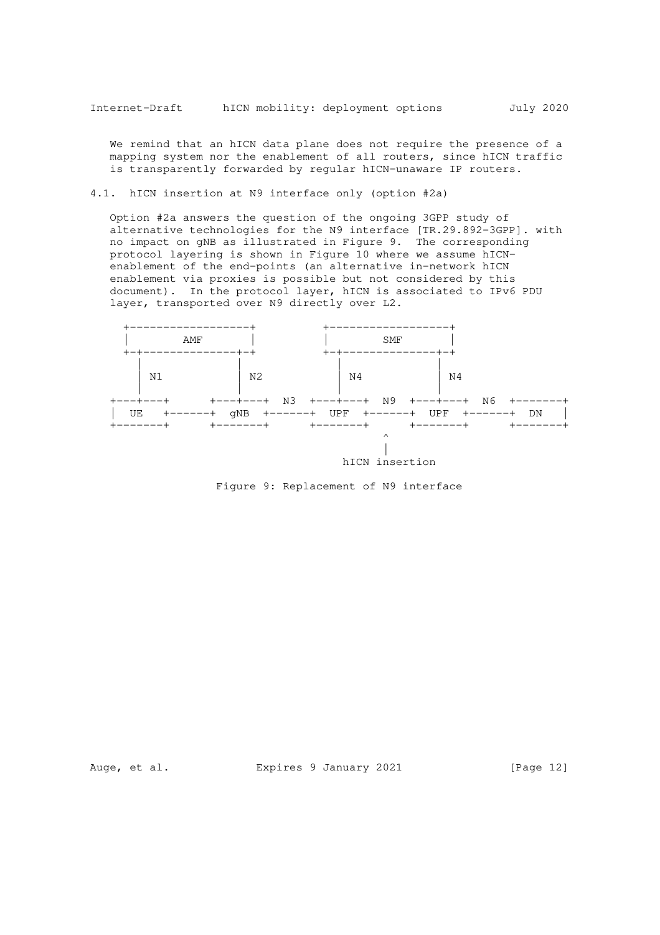We remind that an hICN data plane does not require the presence of a mapping system nor the enablement of all routers, since hICN traffic is transparently forwarded by regular hICN-unaware IP routers.

4.1. hICN insertion at N9 interface only (option #2a)

 Option #2a answers the question of the ongoing 3GPP study of alternative technologies for the N9 interface [TR.29.892-3GPP]. with no impact on gNB as illustrated in Figure 9. The corresponding protocol layering is shown in Figure 10 where we assume hICN enablement of the end-points (an alternative in-network hICN enablement via proxies is possible but not considered by this document). In the protocol layer, hICN is associated to IPv6 PDU layer, transported over N9 directly over L2.





Auge, et al. Expires 9 January 2021 [Page 12]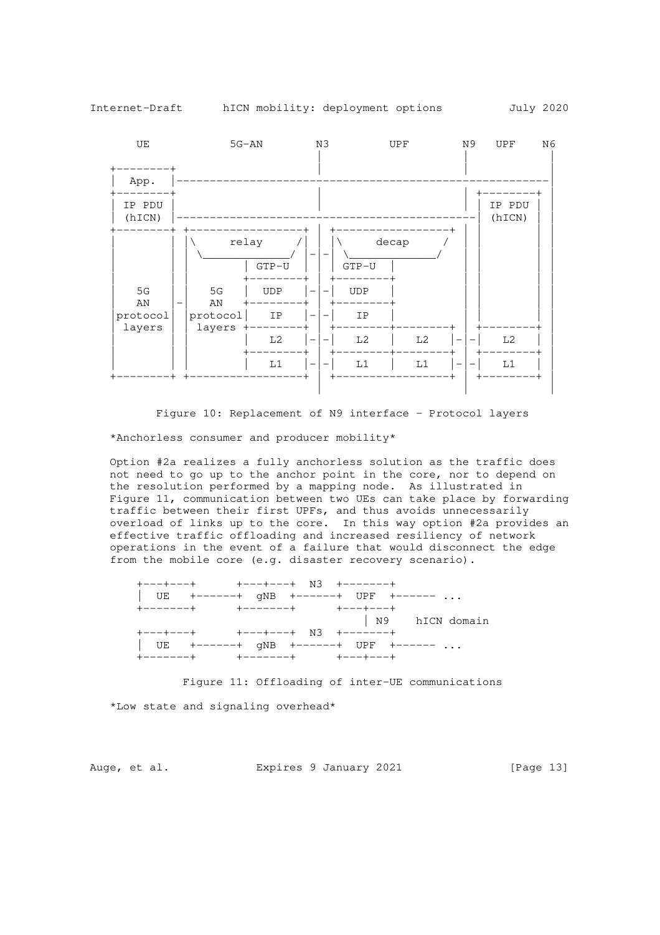

Figure 10: Replacement of N9 interface - Protocol layers \*Anchorless consumer and producer mobility\*

 Option #2a realizes a fully anchorless solution as the traffic does not need to go up to the anchor point in the core, nor to depend on the resolution performed by a mapping node. As illustrated in Figure 11, communication between two UEs can take place by forwarding traffic between their first UPFs, and thus avoids unnecessarily overload of links up to the core. In this way option #2a provides an effective traffic offloading and increased resiliency of network operations in the event of a failure that would disconnect the edge from the mobile core (e.g. disaster recovery scenario).

| +---+---+    +---+---+  N3 +-------+      |  |                |
|-------------------------------------------|--|----------------|
|                                           |  |                |
| +-------+    +-------+    +---+---+       |  |                |
|                                           |  | N9 hICN domain |
| $+$ ---+---+ $+$ +---+---+ $N3$ +-------+ |  |                |
|                                           |  |                |
| +-------+    +-------+    +---+---+       |  |                |

 Figure 11: Offloading of inter-UE communications \*Low state and signaling overhead\*

Auge, et al. Expires 9 January 2021 [Page 13]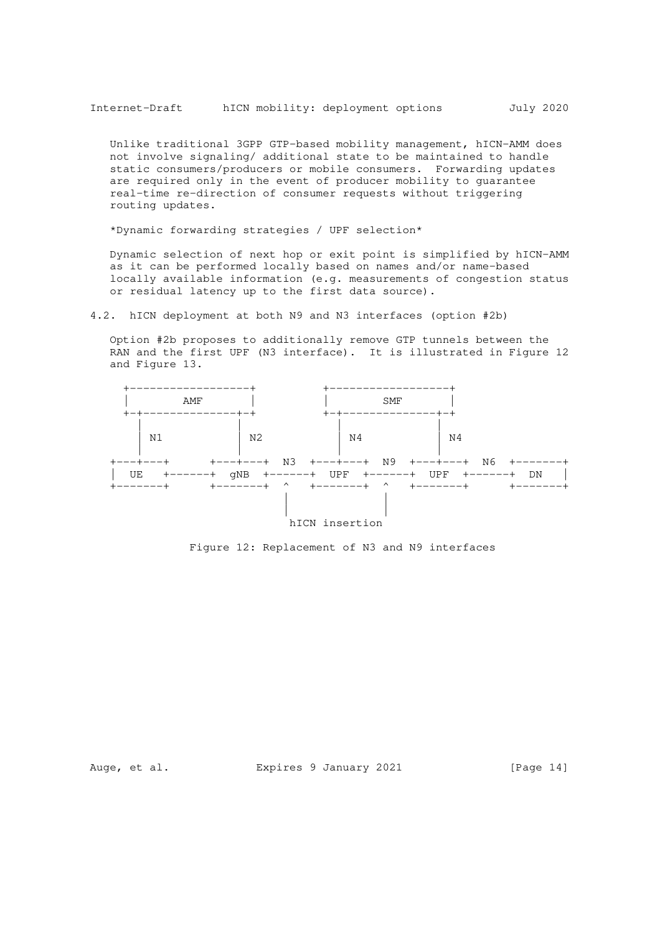Unlike traditional 3GPP GTP-based mobility management, hICN-AMM does not involve signaling/ additional state to be maintained to handle static consumers/producers or mobile consumers. Forwarding updates are required only in the event of producer mobility to guarantee real-time re-direction of consumer requests without triggering routing updates.

\*Dynamic forwarding strategies / UPF selection\*

 Dynamic selection of next hop or exit point is simplified by hICN-AMM as it can be performed locally based on names and/or name-based locally available information (e.g. measurements of congestion status or residual latency up to the first data source).

4.2. hICN deployment at both N9 and N3 interfaces (option #2b)

 Option #2b proposes to additionally remove GTP tunnels between the RAN and the first UPF (N3 interface). It is illustrated in Figure 12 and Figure 13.



Figure 12: Replacement of N3 and N9 interfaces

Auge, et al. Expires 9 January 2021 [Page 14]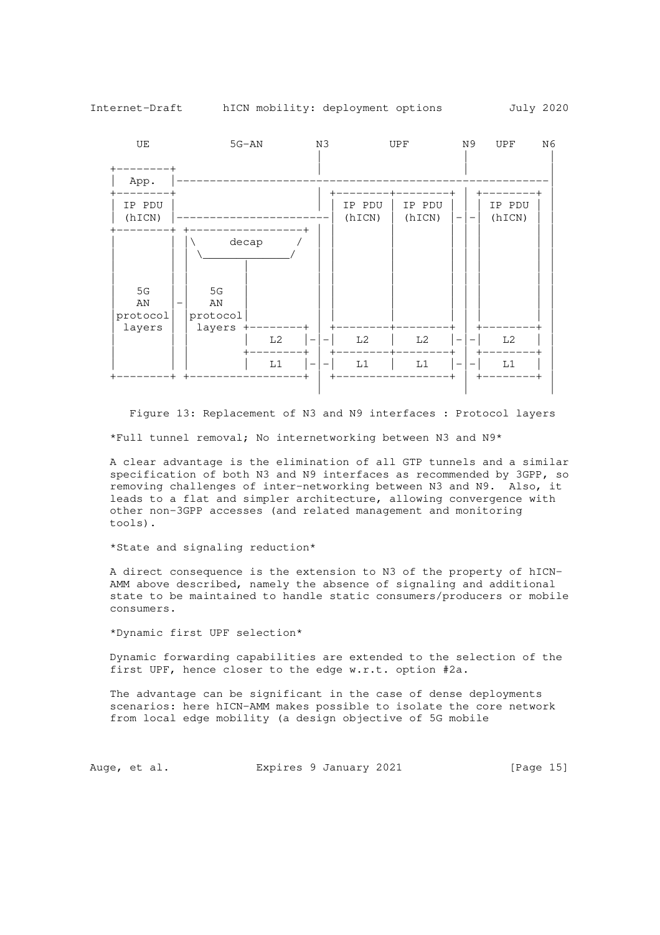| UE                               | $5G-AN$                                      |             | N3 |                            | UPF              | N <sub>9</sub>           | <b>UPF</b>       | N <sub>6</sub> |
|----------------------------------|----------------------------------------------|-------------|----|----------------------------|------------------|--------------------------|------------------|----------------|
| App.                             |                                              |             |    |                            |                  |                          |                  |                |
| IP PDU<br>(hICN)                 |                                              |             |    | IP PDU<br>(hICN)           | IP PDU<br>(hICN) |                          | IP PDU<br>(hICN) |                |
| $5G$<br>AN<br>protocol<br>layers | decap<br>5G<br>AN<br>-<br>protocol<br>layers |             |    |                            |                  |                          |                  |                |
|                                  |                                              | L2          |    | L2                         | $^{\rm L2}$      |                          | L2               |                |
|                                  |                                              | $^{\rm L1}$ |    | $^{\mbox{\scriptsize L1}}$ | L1               | $\overline{\phantom{m}}$ | L1               |                |
|                                  |                                              |             |    |                            |                  |                          |                  |                |

 Figure 13: Replacement of N3 and N9 interfaces : Protocol layers \*Full tunnel removal; No internetworking between N3 and N9\*

 A clear advantage is the elimination of all GTP tunnels and a similar specification of both N3 and N9 interfaces as recommended by 3GPP, so removing challenges of inter-networking between N3 and N9. Also, it leads to a flat and simpler architecture, allowing convergence with other non-3GPP accesses (and related management and monitoring tools).

\*State and signaling reduction\*

 A direct consequence is the extension to N3 of the property of hICN- AMM above described, namely the absence of signaling and additional state to be maintained to handle static consumers/producers or mobile consumers.

\*Dynamic first UPF selection\*

 Dynamic forwarding capabilities are extended to the selection of the first UPF, hence closer to the edge w.r.t. option #2a.

 The advantage can be significant in the case of dense deployments scenarios: here hICN-AMM makes possible to isolate the core network from local edge mobility (a design objective of 5G mobile

Auge, et al. Expires 9 January 2021 [Page 15]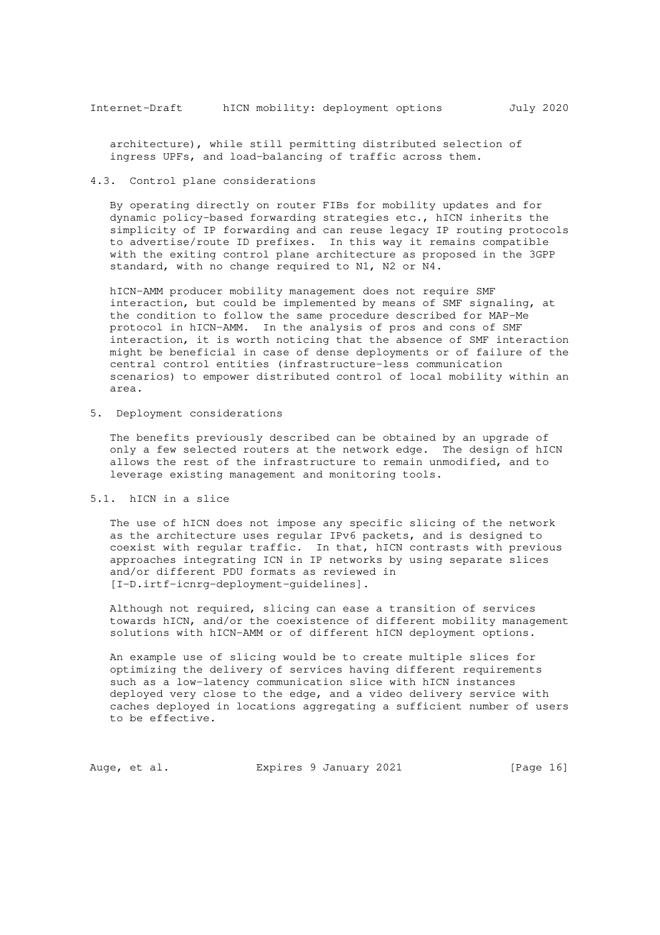architecture), while still permitting distributed selection of ingress UPFs, and load-balancing of traffic across them.

### 4.3. Control plane considerations

 By operating directly on router FIBs for mobility updates and for dynamic policy-based forwarding strategies etc., hICN inherits the simplicity of IP forwarding and can reuse legacy IP routing protocols to advertise/route ID prefixes. In this way it remains compatible with the exiting control plane architecture as proposed in the 3GPP standard, with no change required to N1, N2 or N4.

 hICN-AMM producer mobility management does not require SMF interaction, but could be implemented by means of SMF signaling, at the condition to follow the same procedure described for MAP-Me protocol in hICN-AMM. In the analysis of pros and cons of SMF interaction, it is worth noticing that the absence of SMF interaction might be beneficial in case of dense deployments or of failure of the central control entities (infrastructure-less communication scenarios) to empower distributed control of local mobility within an area.

### 5. Deployment considerations

 The benefits previously described can be obtained by an upgrade of only a few selected routers at the network edge. The design of hICN allows the rest of the infrastructure to remain unmodified, and to leverage existing management and monitoring tools.

#### 5.1. hICN in a slice

 The use of hICN does not impose any specific slicing of the network as the architecture uses regular IPv6 packets, and is designed to coexist with regular traffic. In that, hICN contrasts with previous approaches integrating ICN in IP networks by using separate slices and/or different PDU formats as reviewed in [I-D.irtf-icnrg-deployment-guidelines].

 Although not required, slicing can ease a transition of services towards hICN, and/or the coexistence of different mobility management solutions with hICN-AMM or of different hICN deployment options.

 An example use of slicing would be to create multiple slices for optimizing the delivery of services having different requirements such as a low-latency communication slice with hICN instances deployed very close to the edge, and a video delivery service with caches deployed in locations aggregating a sufficient number of users to be effective.

Auge, et al. Expires 9 January 2021 [Page 16]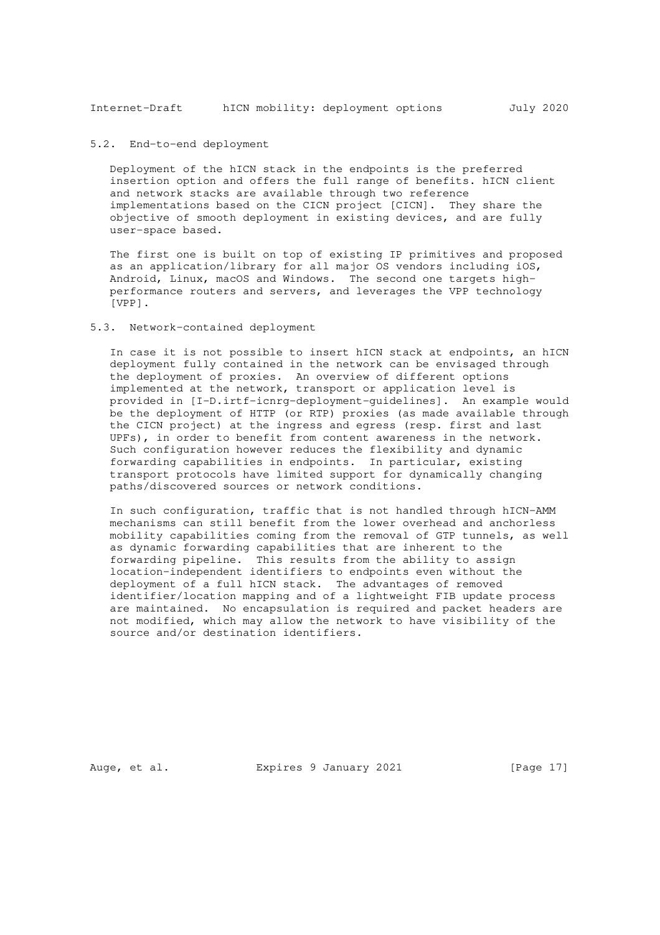## 5.2. End-to-end deployment

 Deployment of the hICN stack in the endpoints is the preferred insertion option and offers the full range of benefits. hICN client and network stacks are available through two reference implementations based on the CICN project [CICN]. They share the objective of smooth deployment in existing devices, and are fully user-space based.

 The first one is built on top of existing IP primitives and proposed as an application/library for all major OS vendors including iOS, Android, Linux, macOS and Windows. The second one targets high performance routers and servers, and leverages the VPP technology [VPP].

### 5.3. Network-contained deployment

 In case it is not possible to insert hICN stack at endpoints, an hICN deployment fully contained in the network can be envisaged through the deployment of proxies. An overview of different options implemented at the network, transport or application level is provided in [I-D.irtf-icnrg-deployment-guidelines]. An example would be the deployment of HTTP (or RTP) proxies (as made available through the CICN project) at the ingress and egress (resp. first and last UPFs), in order to benefit from content awareness in the network. Such configuration however reduces the flexibility and dynamic forwarding capabilities in endpoints. In particular, existing transport protocols have limited support for dynamically changing paths/discovered sources or network conditions.

 In such configuration, traffic that is not handled through hICN-AMM mechanisms can still benefit from the lower overhead and anchorless mobility capabilities coming from the removal of GTP tunnels, as well as dynamic forwarding capabilities that are inherent to the forwarding pipeline. This results from the ability to assign location-independent identifiers to endpoints even without the deployment of a full hICN stack. The advantages of removed identifier/location mapping and of a lightweight FIB update process are maintained. No encapsulation is required and packet headers are not modified, which may allow the network to have visibility of the source and/or destination identifiers.

Auge, et al. Expires 9 January 2021 [Page 17]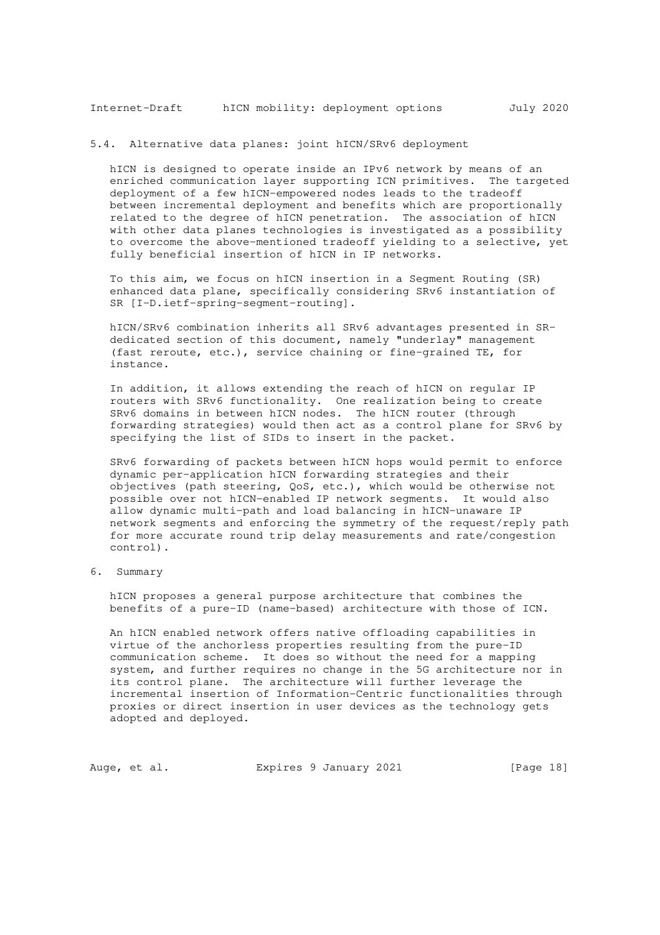5.4. Alternative data planes: joint hICN/SRv6 deployment

 hICN is designed to operate inside an IPv6 network by means of an enriched communication layer supporting ICN primitives. The targeted deployment of a few hICN-empowered nodes leads to the tradeoff between incremental deployment and benefits which are proportionally related to the degree of hICN penetration. The association of hICN with other data planes technologies is investigated as a possibility to overcome the above-mentioned tradeoff yielding to a selective, yet fully beneficial insertion of hICN in IP networks.

 To this aim, we focus on hICN insertion in a Segment Routing (SR) enhanced data plane, specifically considering SRv6 instantiation of SR [I-D.ietf-spring-segment-routing].

hICN/SRv6 combination inherits all SRv6 advantages presented in SR dedicated section of this document, namely "underlay" management (fast reroute, etc.), service chaining or fine-grained TE, for instance.

 In addition, it allows extending the reach of hICN on regular IP routers with SRv6 functionality. One realization being to create SRv6 domains in between hICN nodes. The hICN router (through forwarding strategies) would then act as a control plane for SRv6 by specifying the list of SIDs to insert in the packet.

 SRv6 forwarding of packets between hICN hops would permit to enforce dynamic per-application hICN forwarding strategies and their objectives (path steering, QoS, etc.), which would be otherwise not possible over not hICN-enabled IP network segments. It would also allow dynamic multi-path and load balancing in hICN-unaware IP network segments and enforcing the symmetry of the request/reply path for more accurate round trip delay measurements and rate/congestion control).

6. Summary

 hICN proposes a general purpose architecture that combines the benefits of a pure-ID (name-based) architecture with those of ICN.

 An hICN enabled network offers native offloading capabilities in virtue of the anchorless properties resulting from the pure-ID communication scheme. It does so without the need for a mapping system, and further requires no change in the 5G architecture nor in its control plane. The architecture will further leverage the incremental insertion of Information-Centric functionalities through proxies or direct insertion in user devices as the technology gets adopted and deployed.

Auge, et al. Expires 9 January 2021 [Page 18]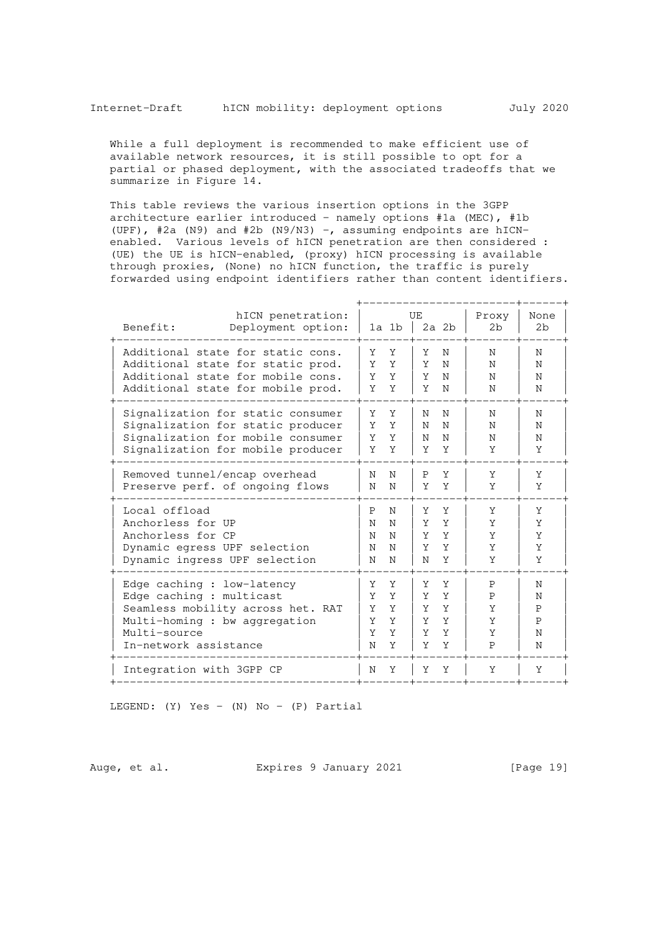While a full deployment is recommended to make efficient use of available network resources, it is still possible to opt for a partial or phased deployment, with the associated tradeoffs that we summarize in Figure 14.

 This table reviews the various insertion options in the 3GPP architecture earlier introduced - namely options #1a (MEC), #1b (UPF), #2a (N9) and #2b (N9/N3) -, assuming endpoints are hICN enabled. Various levels of hICN penetration are then considered : (UE) the UE is hICN-enabled, (proxy) hICN processing is available through proxies, (None) no hICN function, the traffic is purely forwarded using endpoint identifiers rather than content identifiers.

| hICN penetration:<br>Benefit:<br>Deployment option:                                                                                                                   | $1a 1b$                                                  | UE<br>$2a$ $2b$                                          | Proxy<br>2 <sub>b</sub>    | None<br>2 <sub>b</sub>                |
|-----------------------------------------------------------------------------------------------------------------------------------------------------------------------|----------------------------------------------------------|----------------------------------------------------------|----------------------------|---------------------------------------|
| Additional state for static cons.<br>Additional state for static prod.<br>Additional state for mobile cons.<br>Additional state for mobile prod.                      | Y<br>Y<br>Y<br>Y<br>Y<br>Y<br>Y<br>Y                     | Y<br>N<br>Y<br>N<br>Y<br>N<br>Y<br>N                     | N<br>N<br>N<br>N           | N<br>N<br>N<br>N                      |
| Signalization for static consumer<br>Signalization for static producer<br>Signalization for mobile consumer<br>Signalization for mobile producer                      | Y<br>Y<br>Y<br>Y<br>Y<br>Y<br>Y<br>Y                     | N<br>Ν<br>N<br>N<br>N<br>N<br>Y<br>Y                     | N<br>N<br>N<br>Y           | N<br>N<br>N<br>Υ                      |
| Removed tunnel/encap overhead<br>Preserve perf. of ongoing flows                                                                                                      | N<br>N<br>N<br>N                                         | Y<br>P<br>Y<br>Y                                         | Y<br>Y                     | Y<br>Y                                |
| Local offload<br>Anchorless for UP<br>Anchorless for CP<br>Dynamic egress UPF selection<br>Dynamic ingress UPF selection                                              | Ρ<br>N<br>N<br>N<br>N<br>N<br>N<br>N<br>N<br>N           | Y<br>Y<br>Y<br>Y<br>Y<br>Y<br>Y<br>Y<br>Y<br>N           | Y<br>Y<br>Y<br>Y<br>Y      | Y<br>Y<br>Y<br>Y<br>Y                 |
| Edge caching : low-latency<br>Edge caching : multicast<br>Seamless mobility across het. RAT<br>Multi-homing : bw aggregation<br>Multi-source<br>In-network assistance | Y<br>Y<br>Y<br>Y<br>Y<br>Y<br>Y<br>Y<br>Y<br>Y<br>Y<br>N | Y<br>Y<br>Y<br>Y<br>Y<br>Y<br>Y<br>Y<br>Y<br>Y<br>Y<br>Y | Ρ<br>Ρ<br>Y<br>Y<br>Y<br>P | N<br>N<br>P<br>$\mathsf{P}$<br>N<br>N |
| Integration with 3GPP CP                                                                                                                                              | N<br>Y                                                   | Y<br>Υ                                                   | Y                          | Y                                     |

LEGEND:  $(Y)$  Yes -  $(N)$  No -  $(P)$  Partial

Auge, et al. Expires 9 January 2021 [Page 19]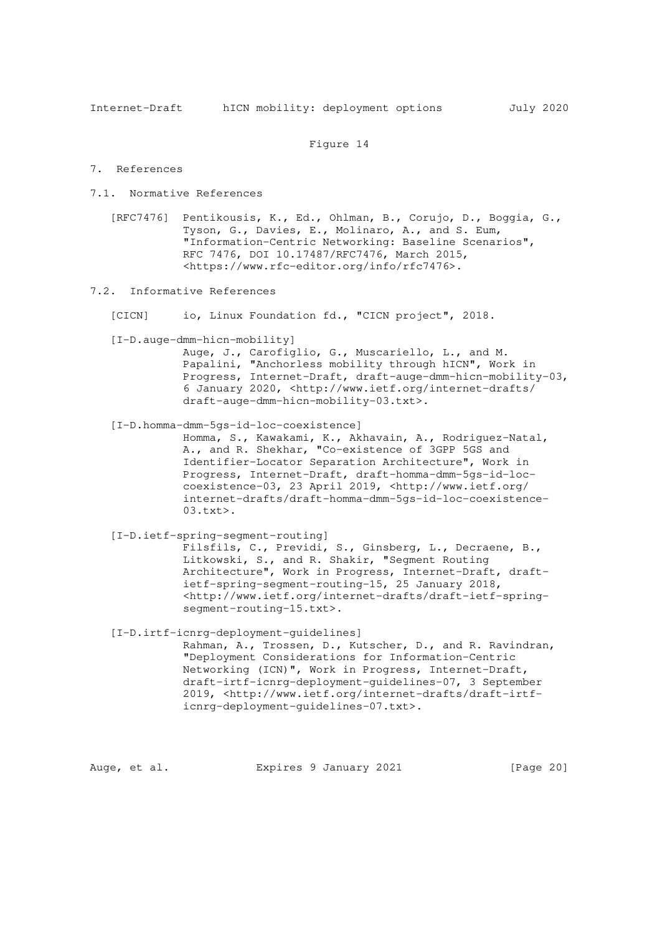#### Figure 14

#### 7. References

7.1. Normative References

 [RFC7476] Pentikousis, K., Ed., Ohlman, B., Corujo, D., Boggia, G., Tyson, G., Davies, E., Molinaro, A., and S. Eum, "Information-Centric Networking: Baseline Scenarios", RFC 7476, DOI 10.17487/RFC7476, March 2015, <https://www.rfc-editor.org/info/rfc7476>.

7.2. Informative References

[CICN] io, Linux Foundation fd., "CICN project", 2018.

[I-D.auge-dmm-hicn-mobility]

 Auge, J., Carofiglio, G., Muscariello, L., and M. Papalini, "Anchorless mobility through hICN", Work in Progress, Internet-Draft, draft-auge-dmm-hicn-mobility-03, 6 January 2020, <http://www.ietf.org/internet-drafts/ draft-auge-dmm-hicn-mobility-03.txt>.

[I-D.homma-dmm-5gs-id-loc-coexistence]

 Homma, S., Kawakami, K., Akhavain, A., Rodriguez-Natal, A., and R. Shekhar, "Co-existence of 3GPP 5GS and Identifier-Locator Separation Architecture", Work in Progress, Internet-Draft, draft-homma-dmm-5gs-id-loc coexistence-03, 23 April 2019, <http://www.ietf.org/ internet-drafts/draft-homma-dmm-5gs-id-loc-coexistence- 03.txt>.

 [I-D.ietf-spring-segment-routing] Filsfils, C., Previdi, S., Ginsberg, L., Decraene, B., Litkowski, S., and R. Shakir, "Segment Routing Architecture", Work in Progress, Internet-Draft, draft ietf-spring-segment-routing-15, 25 January 2018, <http://www.ietf.org/internet-drafts/draft-ietf-spring segment-routing-15.txt>.

 [I-D.irtf-icnrg-deployment-guidelines] Rahman, A., Trossen, D., Kutscher, D., and R. Ravindran, "Deployment Considerations for Information-Centric Networking (ICN)", Work in Progress, Internet-Draft, draft-irtf-icnrg-deployment-guidelines-07, 3 September 2019, <http://www.ietf.org/internet-drafts/draft-irtf icnrg-deployment-guidelines-07.txt>.

Auge, et al. Expires 9 January 2021 [Page 20]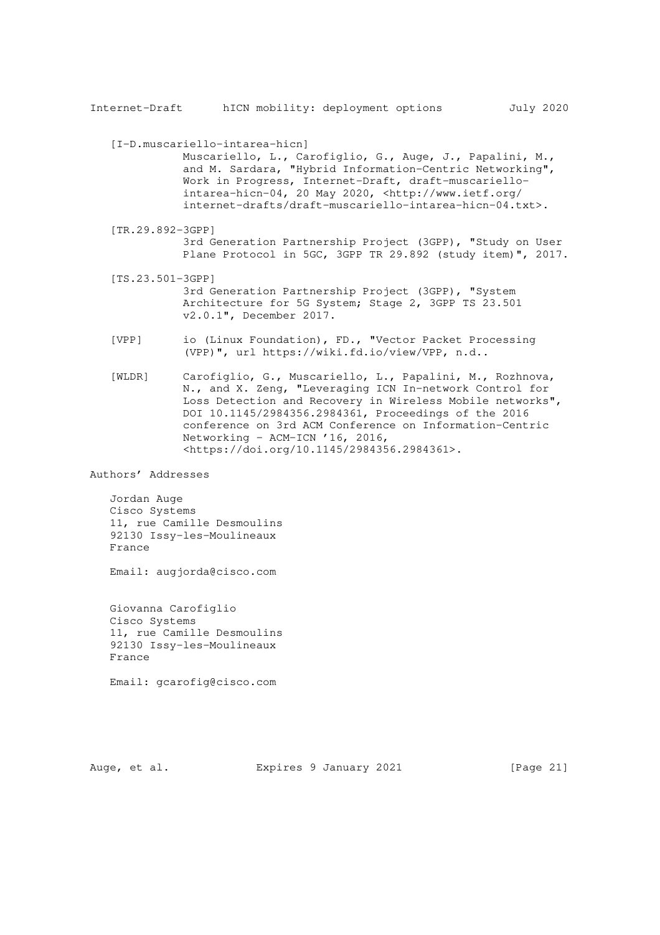[I-D.muscariello-intarea-hicn]

 Muscariello, L., Carofiglio, G., Auge, J., Papalini, M., and M. Sardara, "Hybrid Information-Centric Networking", Work in Progress, Internet-Draft, draft-muscariello intarea-hicn-04, 20 May 2020, <http://www.ietf.org/ internet-drafts/draft-muscariello-intarea-hicn-04.txt>.

- [TR.29.892-3GPP] 3rd Generation Partnership Project (3GPP), "Study on User Plane Protocol in 5GC, 3GPP TR 29.892 (study item)", 2017.
- [TS.23.501-3GPP] 3rd Generation Partnership Project (3GPP), "System Architecture for 5G System; Stage 2, 3GPP TS 23.501 v2.0.1", December 2017.
- [VPP] io (Linux Foundation), FD., "Vector Packet Processing (VPP)", url https://wiki.fd.io/view/VPP, n.d..
- [WLDR] Carofiglio, G., Muscariello, L., Papalini, M., Rozhnova, N., and X. Zeng, "Leveraging ICN In-network Control for Loss Detection and Recovery in Wireless Mobile networks", DOI 10.1145/2984356.2984361, Proceedings of the 2016 conference on 3rd ACM Conference on Information-Centric Networking - ACM-ICN '16, 2016, <https://doi.org/10.1145/2984356.2984361>.

Authors' Addresses

 Jordan Auge Cisco Systems 11, rue Camille Desmoulins 92130 Issy-les-Moulineaux France

Email: augjorda@cisco.com

 Giovanna Carofiglio Cisco Systems 11, rue Camille Desmoulins 92130 Issy-les-Moulineaux France

Email: gcarofig@cisco.com

Auge, et al. Expires 9 January 2021 [Page 21]